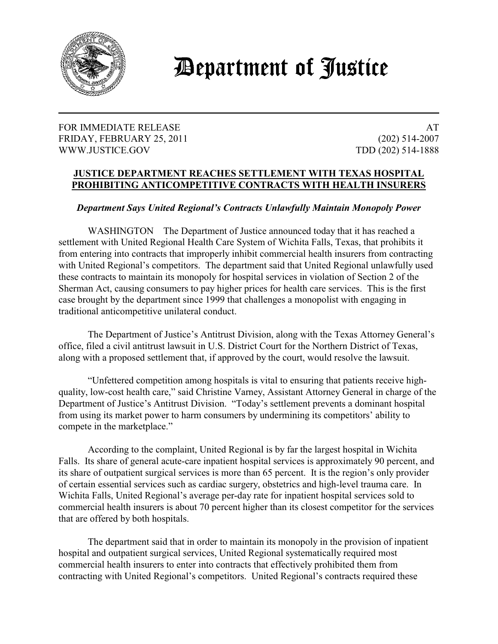

## *Department of Justice*

## FOR IMMEDIATE RELEASE AT A SERVICE OF A SERVICE OF A SERVICE OF A SERVICE OF A SERVICE OF A SERVICE OF A SERVICE OF A SERVICE OF A SERVICE OF A SERVICE OF A SERVICE OF A SERVICE OF A SERVICE OF A SERVICE OF A SERVICE OF A FRIDAY, FEBRUARY 25, 2011 (202) 514-2007 WWW.JUSTICE.GOV TDD (202) 514-1888

## **JUSTICE DEPARTMENT REACHES SETTLEMENT WITH TEXAS HOSPITAL PROHIBITING ANTICOMPETITIVE CONTRACTS WITH HEALTH INSURERS**

## *Department Says United Regional's Contracts Unlawfully Maintain Monopoly Power*

WASHINGTON The Department of Justice announced today that it has reached a settlement with United Regional Health Care System of Wichita Falls, Texas, that prohibits it from entering into contracts that improperly inhibit commercial health insurers from contracting with United Regional's competitors. The department said that United Regional unlawfully used these contracts to maintain its monopoly for hospital services in violation of Section 2 of the Sherman Act, causing consumers to pay higher prices for health care services. This is the first case brought by the department since 1999 that challenges a monopolist with engaging in traditional anticompetitive unilateral conduct.

The Department of Justice's Antitrust Division, along with the Texas Attorney General's office, filed a civil antitrust lawsuit in U.S. District Court for the Northern District of Texas, along with a proposed settlement that, if approved by the court, would resolve the lawsuit.

"Unfettered competition among hospitals is vital to ensuring that patients receive highquality, low-cost health care," said Christine Varney, Assistant Attorney General in charge of the Department of Justice's Antitrust Division. "Today's settlement prevents a dominant hospital from using its market power to harm consumers by undermining its competitors' ability to compete in the marketplace."

 According to the complaint, United Regional is by far the largest hospital in Wichita Falls. Its share of general acute-care inpatient hospital services is approximately 90 percent, and its share of outpatient surgical services is more than 65 percent. It is the region's only provider of certain essential services such as cardiac surgery, obstetrics and high-level trauma care. In Wichita Falls, United Regional's average per-day rate for inpatient hospital services sold to commercial health insurers is about 70 percent higher than its closest competitor for the services that are offered by both hospitals.

The department said that in order to maintain its monopoly in the provision of inpatient hospital and outpatient surgical services, United Regional systematically required most commercial health insurers to enter into contracts that effectively prohibited them from contracting with United Regional's competitors. United Regional's contracts required these